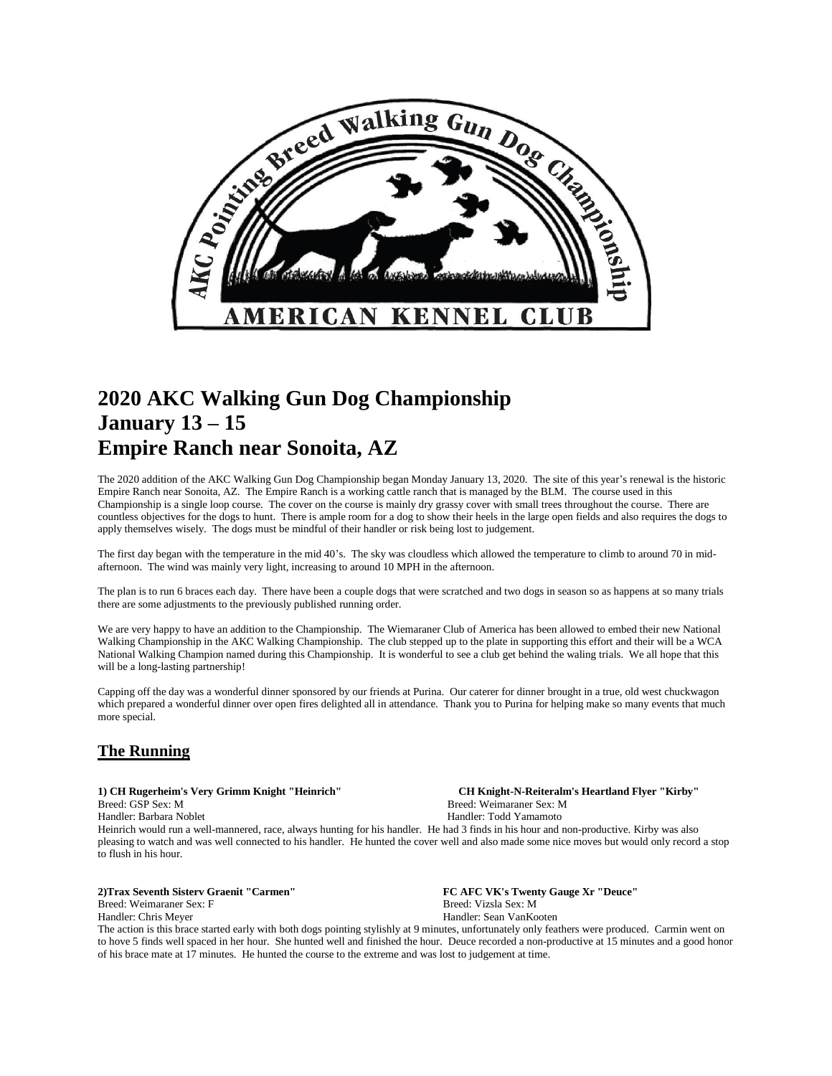

## **2020 AKC Walking Gun Dog Championship January 13 – 15 Empire Ranch near Sonoita, AZ**

The 2020 addition of the AKC Walking Gun Dog Championship began Monday January 13, 2020. The site of this year's renewal is the historic Empire Ranch near Sonoita, AZ. The Empire Ranch is a working cattle ranch that is managed by the BLM. The course used in this Championship is a single loop course. The cover on the course is mainly dry grassy cover with small trees throughout the course. There are countless objectives for the dogs to hunt. There is ample room for a dog to show their heels in the large open fields and also requires the dogs to apply themselves wisely. The dogs must be mindful of their handler or risk being lost to judgement.

The first day began with the temperature in the mid 40's. The sky was cloudless which allowed the temperature to climb to around 70 in midafternoon. The wind was mainly very light, increasing to around 10 MPH in the afternoon.

The plan is to run 6 braces each day. There have been a couple dogs that were scratched and two dogs in season so as happens at so many trials there are some adjustments to the previously published running order.

We are very happy to have an addition to the Championship. The Wiemaraner Club of America has been allowed to embed their new National Walking Championship in the AKC Walking Championship. The club stepped up to the plate in supporting this effort and their will be a WCA National Walking Champion named during this Championship. It is wonderful to see a club get behind the waling trials. We all hope that this will be a long-lasting partnership!

Capping off the day was a wonderful dinner sponsored by our friends at Purina. Our caterer for dinner brought in a true, old west chuckwagon which prepared a wonderful dinner over open fires delighted all in attendance. Thank you to Purina for helping make so many events that much more special.

### **The Running**

Breed: GSP Sex: M Breed: Weimaraner Sex: M

**1) CH Rugerheim's Very Grimm Knight "Heinrich" CH Knight-N-Reiteralm's Heartland Flyer "Kirby"** Handler: Barbara Noblet Handler: Todd Yamamoto

Heinrich would run a well-mannered, race, always hunting for his handler. He had 3 finds in his hour and non-productive. Kirby was also pleasing to watch and was well connected to his handler. He hunted the cover well and also made some nice moves but would only record a stop to flush in his hour.

**2)Trax Seventh Sisterv Graenit "Carmen" FC AFC VK's Twenty Gauge Xr "Deuce"** Breed: Weimaraner Sex: F Breed: Wizsla Sex: M Handler: Chris Meyer Handler: Sean VanKooten

The action is this brace started early with both dogs pointing stylishly at 9 minutes, unfortunately only feathers were produced. Carmin went on to hove 5 finds well spaced in her hour. She hunted well and finished the hour. Deuce recorded a non-productive at 15 minutes and a good honor of his brace mate at 17 minutes. He hunted the course to the extreme and was lost to judgement at time.